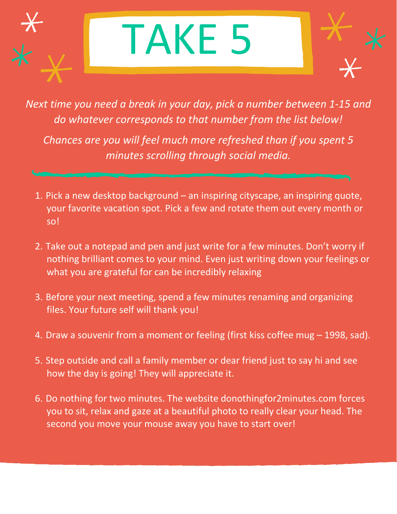## TAKE 5

*Next time you need a break in your day, pick a number between 1-15 and do whatever corresponds to that number from the list below!*

*Chances are you will feel much more refreshed than if you spent 5 minutes scrolling through social media.*

- 1. Pick a new desktop background an inspiring cityscape, an inspiring quote, your favorite vacation spot. Pick a few and rotate them out every month or so!
- 2. Take out a notepad and pen and just write for a few minutes. Don't worry if nothing brilliant comes to your mind. Even just writing down your feelings or what you are grateful for can be incredibly relaxing
- 3. Before your next meeting, spend a few minutes renaming and organizing files. Your future self will thank you!
- 4. Draw a souvenir from a moment or feeling (first kiss coffee mug 1998, sad).
- 5. Step outside and call a family member or dear friend just to say hi and see how the day is going! They will appreciate it.
- 6. Do nothing for two minutes. The website donothingfor2minutes.com forces you to sit, relax and gaze at a beautiful photo to really clear your head. The second you move your mouse away you have to start over!